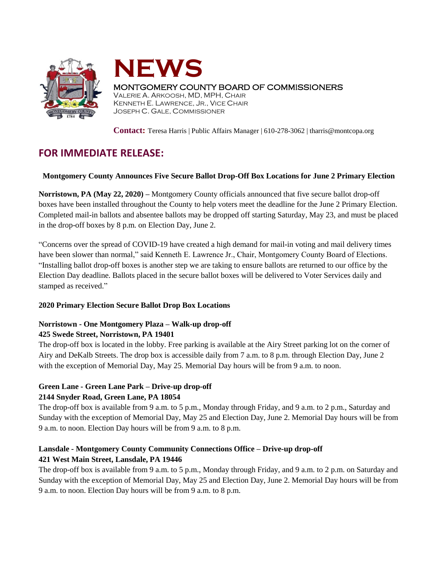



# MONTGOMERY COUNTY BOARD OF COMMISSIONERS

VALERIE A. ARKOOSH, MD, MPH, CHAIR KENNETH E. LAWRENCE, JR., VICE CHAIR JOSEPH C. GALE, COMMISSIONER

**Contact:** Teresa Harris | Public Affairs Manager | 610-278-3062 | tharris@montcopa.org

# **FOR IMMEDIATE RELEASE:**

#### **Montgomery County Announces Five Secure Ballot Drop-Off Box Locations for June 2 Primary Election**

**Norristown, PA (May 22, 2020) –** Montgomery County officials announced that five secure ballot drop-off boxes have been installed throughout the County to help voters meet the deadline for the June 2 Primary Election. Completed mail-in ballots and absentee ballots may be dropped off starting Saturday, May 23, and must be placed in the drop-off boxes by 8 p.m. on Election Day, June 2.

"Concerns over the spread of COVID-19 have created a high demand for mail-in voting and mail delivery times have been slower than normal," said Kenneth E. Lawrence Jr., Chair, Montgomery County Board of Elections. "Installing ballot drop-off boxes is another step we are taking to ensure ballots are returned to our office by the Election Day deadline. Ballots placed in the secure ballot boxes will be delivered to Voter Services daily and stamped as received."

#### **2020 Primary Election Secure Ballot Drop Box Locations**

#### **Norristown - One Montgomery Plaza – Walk-up drop-off 425 Swede Street, Norristown, PA 19401**

The drop-off box is located in the lobby. Free parking is available at the Airy Street parking lot on the corner of Airy and DeKalb Streets. The drop box is accessible daily from 7 a.m. to 8 p.m. through Election Day, June 2 with the exception of Memorial Day, May 25. Memorial Day hours will be from 9 a.m. to noon.

#### **Green Lane - Green Lane Park – Drive-up drop-off 2144 Snyder Road, Green Lane, PA 18054**

The drop-off box is available from 9 a.m. to 5 p.m., Monday through Friday, and 9 a.m. to 2 p.m., Saturday and Sunday with the exception of Memorial Day, May 25 and Election Day, June 2. Memorial Day hours will be from 9 a.m. to noon. Election Day hours will be from 9 a.m. to 8 p.m.

# **Lansdale - Montgomery County Community Connections Office – Drive-up drop-off 421 West Main Street, Lansdale, PA 19446**

The drop-off box is available from 9 a.m. to 5 p.m., Monday through Friday, and 9 a.m. to 2 p.m. on Saturday and Sunday with the exception of Memorial Day, May 25 and Election Day, June 2. Memorial Day hours will be from 9 a.m. to noon. Election Day hours will be from 9 a.m. to 8 p.m.